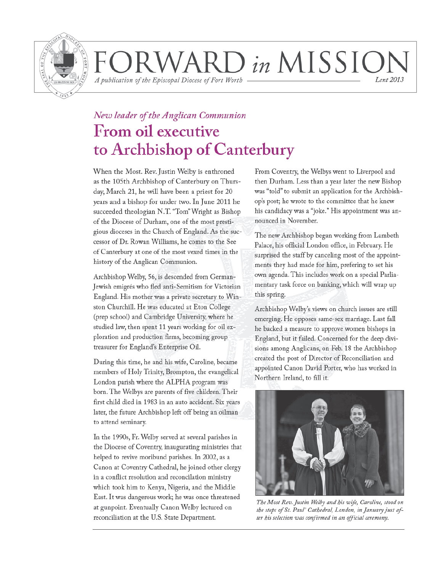

WARD in MISSIOI A publication of the Episcopal Diocese of Fort Worth Lent 2013

## New leader of the Anglican Communion From oil executive to Archbishop of Canterbury

When the Most. Rev. Justin Welby is enthroned as the 105th Archbishop of Canterbury on Thursday, March 21, he will have been a priest for 20 years and a bishop for under two. In June 2011 he succeeded theologian N.T. "Tom" Wright as Bishop of the Diocese of Durham, one of the most prestigious dioceses in the Church of England. As the successor of Dr. Rowan Williams, he comes to the See of Canterbury at one of the most vexed times in the history of the Anglican Communion.

Archbishop Welby, 56, is descended from German-Jewish emigrés who fled anti-Semitism for Victorian England. His mother was a private secretary to Winston Churchill. He was educated at Eton College (prep school) and Cambridge University, where he studied law, then spent 11 years working for oil exploration and production firms, becoming group treasurer for England's Enterprise Oil.

During this time, he and his wife, Caroline, became members of Holy Trinity, Brompton, the evangelical London parish where the ALPHA program was born. The Welbys are parents of five children. Their first child died in 1983 in an auto accident. Six years later, the future Archbishop left off being an oilman to attend seminary.

In the 1990s, Fr. Welby served at several parishes in the Diocese of Coventry, inaugurating ministries that helped to revive moribund parishes. In 2002, as a Canon at Coventry Cathedral, he joined other clergy in a conflict resolution and reconcilation ministry which took him to Kenya, Nigeria, and the Middle East. It was dangerous work; he was once threatened at gunpoint. Eventually Canon Welby lectured on reconciliation at the U.S. State Department.

From Coventry, the Welbys went to Liverpool and then Durham. Less than a year later the new Bishop was "told" to submit an application for the Archbishop's post; he wrote to the committee that he knew his candidacy was a "joke." His appointment was announced in November.

The new Archbishop began working from Lambeth Palace, his official London office, in February. He surprised the staff by canceling most of the appointments they had made for him, prefering to set his own agenda. This includes work on a special Parliamentary task force on banking, which will wrap up this spring.

Archbishop Welby's views on church issues are still emerging. He opposes same-sex marriage. Last fall he backed a measure to approve women bishops in England, but it failed. Concerned for the deep divisions among Anglicans, on Feb. 18 the Archbishop created the post of Director of Reconciliation and appointed Canon David Porter, who has worked in Northern Ireland, to fill it.



The Most Rev. Justin Welby and his wife, Caroline, stood on the steps of St. Paul' Cathedral, London, in January just after his selection was confirmed in an official ceremony.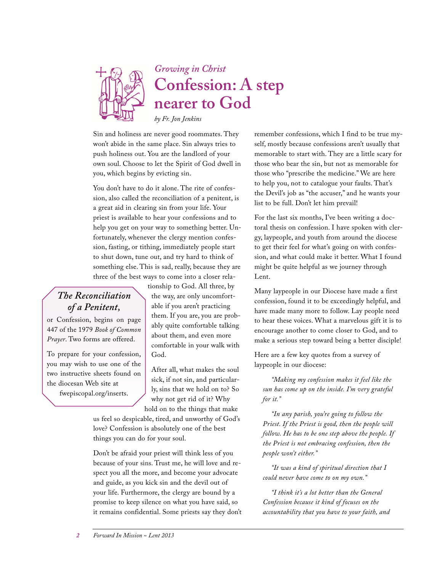

*Growing in Christ* **Confession: A step nearer to God**

*by Fr. Jon Jenkins*

Sin and holiness are never good roommates. They won't abide in the same place. Sin always tries to push holiness out. You are the landlord of your own soul. Choose to let the Spirit of God dwell in you, which begins by evicting sin.

You don't have to do it alone. The rite of confession, also called the reconciliation of a penitent, is a great aid in clearing sin from your life. Your priest is available to hear your confessions and to help you get on your way to something better. Unfortunately, whenever the clergy mention confession, fasting, or tithing, immediately people start to shut down, tune out, and try hard to think of something else. This is sad, really, because they are three of the best ways to come into a closer rela-

## *The Reconciliation of a Penitent,*

or Confession, begins on page 447 of the 1979 *Book of Common Prayer*. Two forms are offered.

To prepare for your confession, you may wish to use one of the two instructive sheets found on the diocesan Web site at fwepiscopal.org/inserts.

tionship to God. All three, by the way, are only uncomfortable if you aren't practicing them. If you are, you are probably quite comfortable talking about them, and even more comfortable in your walk with God.

After all, what makes the soul sick, if not sin, and particularly, sins that we hold on to? So why not get rid of it? Why hold on to the things that make

us feel so despicable, tired, and unworthy of God's love? Confession is absolutely one of the best things you can do for your soul.

Don't be afraid your priest will think less of you because of your sins. Trust me, he will love and respect you all the more, and become your advocate and guide, as you kick sin and the devil out of your life. Furthermore, the clergy are bound by a promise to keep silence on what you have said, so it remains confidential. Some priests say they don't remember confessions, which I find to be true myself, mostly because confessions aren't usually that memorable to start with. They are a little scary for those who bear the sin, but not as memorable for those who "prescribe the medicine." We are here to help you, not to catalogue your faults. That's the Devil's job as "the accuser," and he wants your list to be full. Don't let him prevail!

For the last six months, I've been writing a doctoral thesis on confession. I have spoken with clergy, laypeople, and youth from around the diocese to get their feel for what's going on with confession, and what could make it better. What I found might be quite helpful as we journey through Lent.

Many laypeople in our Diocese have made a first confession, found it to be exceedingly helpful, and have made many more to follow. Lay people need to hear these voices. What a marvelous gift it is to encourage another to come closer to God, and to make a serious step toward being a better disciple!

Here are a few key quotes from a survey of laypeople in our diocese:

*"Making my confession makes it feel like the sun has come up on the inside. I'm very grateful for it."*

*"In any parish, you're going to follow the Priest. If the Priest is good, then the people will follow. He has to be one step above the people. If the Priest is not embracing confession, then the people won't either."*

*"It was a kind of spiritual direction that I could never have come to on my own."*

*"I think it's a lot better than the General Confession because it kind of focuses on the accountability that you have to your faith, and*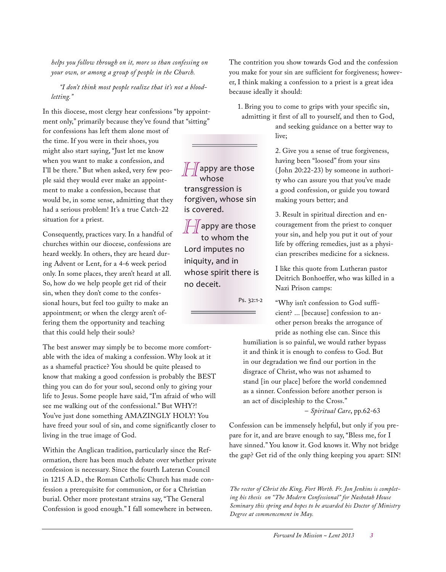*helps you follow through on it, more so than confessing on your own, or among a group of people in the Church.*

*"I don't think most people realize that it's not a bloodletting."*

In this diocese, most clergy hear confessions "by appointment only," primarily because they've found that "sitting"

for confessions has left them alone most of the time. If you were in their shoes, you might also start saying, "Just let me know when you want to make a confession, and I'll be there." But when asked, very few people said they would ever make an appointment to make a confession, because that would be, in some sense, admitting that they had a serious problem! It's a true Catch-22 situation for a priest.

Consequently, practices vary. In a handful of churches within our diocese, confessions are heard weekly. In others, they are heard during Advent or Lent, for a 4-6 week period only. In some places, they aren't heard at all. So, how do we help people get rid of their sin, when they don't come to the confessional hours, but feel too guilty to make an appointment; or when the clergy aren't offering them the opportunity and teaching that this could help their souls?

The best answer may simply be to become more comfortable with the idea of making a confession. Why look at it as a shameful practice? You should be quite pleased to know that making a good confession is probably the BEST thing you can do for your soul, second only to giving your life to Jesus. Some people have said, "I'm afraid of who will see me walking out of the confessional." But WHY?! You've just done something AMAZINGLY HOLY! You have freed your soul of sin, and come significantly closer to living in the true image of God.

Within the Anglican tradition, particularly since the Reformation, there has been much debate over whether private confession is necessary. Since the fourth Lateran Council in 1215 A.D., the Roman Catholic Church has made confession a prerequisite for communion, or for a Christian burial. Other more protestant strains say, "The General Confession is good enough." I fall somewhere in between.

The contrition you show towards God and the confession you make for your sin are sufficient for forgiveness; however, I think making a confession to a priest is a great idea because ideally it should:

1. Bring you to come to grips with your specific sin,

admitting it first of all to yourself, and then to God, and seeking guidance on a better way to live;

> 2. Give you a sense of true forgiveness, having been "loosed" from your sins ( John 20:22-23) by someone in authority who can assure you that you've made a good confession, or guide you toward making yours better; and

> 3. Result in spiritual direction and encouragement from the priest to conquer your sin, and help you put it out of your life by offering remedies, just as a physician prescribes medicine for a sickness.

> I like this quote from Lutheran pastor Deitrich Bonhoeffer, who was killed in a Nazi Prison camps:

"Why isn't confession to God sufficient? ... [because] confession to another person breaks the arrogance of pride as nothing else can. Since this

humiliation is so painful, we would rather bypass it and think it is enough to confess to God. But in our degradation we find our portion in the disgrace of Christ, who was not ashamed to stand [in our place] before the world condemned as a sinner. Confession before another person is an act of discipleship to the Cross."

– *Spiritual Care*, pp.62-63

Confession can be immensely helpful, but only if you prepare for it, and are brave enough to say, "Bless me, for I have sinned." You know it. God knows it. Why not bridge the gap? Get rid of the only thing keeping you apart: SIN!

*The rector of Christ the King, Fort Worth. Fr. Jon Jenkins is completing his thesis on "The Modern Confessional" for Nashotah House Seminary this spring and hopes to be awarded his Doctor of Ministry Degree at commencement in May.*

 $\iiint$ appy are those whose transgression is forgiven, whose sin is covered.

 $\int\int\int$ appy are those to whom the Lord imputes no iniquity, and in whose spirit there is no deceit.

Ps. 32:1-2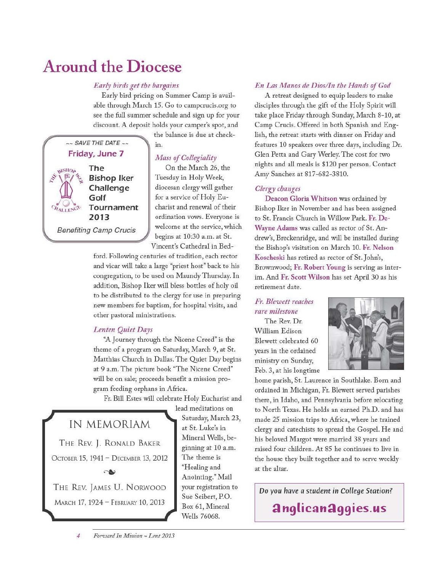# **Around the Diocese**

#### Early birds get the bargains

Early bird pricing on Summer Camp is available through March 15. Go to camperucis.org to see the full summer schedule and sign up for your discount. A deposit holds your camper's spot, and

 $\sim$  SAVE THE DATE  $\sim$ Friday, June 7 **ANY BISHOP** The **Bishop Iker** Challenge Golf Tournament 2013 **Benefiting Camp Crucis** 

the balance is due at checkin.

#### **Mass of Collegiality**

On the March 26, the Tuesday in Holy Week, diocesan clergy will gather for a service of Holy Eucharist and renewal of their ordination vows. Everyone is welcome at the service, which begins at 10:30 a.m. at St. Vincent's Cathedral in Bed-

ford. Following centuries of tradition, each rector and vicar will take a large "priest host" back to his congregation, to be used on Maundy Thursday. In addition, Bishop Iker will bless bottles of holy oil to be distributed to the clergy for use in preparing new members for baptism, for hospital visits, and other pastoral ministrations.

#### **Lenten Quiet Days**

"A Journey through the Nicene Creed" is the theme of a program on Saturday, March 9, at St. Matthias Church in Dallas. The Quiet Day begins at 9 a.m. The picture book "The Nicene Creed" will be on sale; proceeds benefit a mission program feeding orphans in Africa.

Fr. Bill Estes will celebrate Holy Eucharist and

### IN MEMORIAM

THE REV. J. RONALD BAKER ОСТОВЕР. 15, 1941 - DECEMBER 13, 2012

THE REV. JAMES U. NORWOOD MARCH 17, 1924 - FEBRUARY 10, 2013

lead meditations on Saturday, March 23, at St. Luke's in Mineral Wells, beginning at 10 a.m. The theme is "Healing and Anointing." Mail your registration to Sue Seibert, P.O. Box 61, Mineral Wells 76068.

#### En Las Manos de Dios/In the Hands of God

A retreat designed to equip leaders to make disciples through the gift of the Holy Spirit will take place Friday through Sunday, March 8-10, at Camp Crucis. Offered in both Spanish and English, the retreat starts with dinner on Friday and features 10 speakers over three days, including Dr. Glen Petta and Gary Werley. The cost for two nights and all meals is \$120 per person. Contact Amy Sanchez at 817-682-3810.

#### Clergy changes

Deacon Gloria Whitson was ordained by Bishop Iker in November and has been assigned to St. Francis Church in Willow Park. Fr. De-Wayne Adams was called as rector of St. Andrew's, Breckenridge, and will be installed during the Bishop's visitation on March 10. Fr. Nelson Koscheski has retired as rector of St. John's, Brownwood; Fr. Robert Young is serving as interim. And Fr. Scott Wilson has set April 30 as his retirement date.

#### Fr. Blewett reaches rare milestone

The Rev. Dr. William Edison Blewett celebrated 60 years in the ordained ministry on Sunday, Feb. 3, at his longtime



home parish, St. Laurence in Southlake. Born and ordained in Michigan, Fr. Blewett served parishes there, in Idaho, and Pennsylvania before relocating to North Texas. He holds an earned Ph.D. and has made 25 mission trips to Africa, where he trained clergy and catechists to spread the Gospel. He and his beloved Margot were married 38 years and raised four children. At 85 he continues to live in the house they built together and to serve weekly at the altar.

Do you have a student in College Station?

anglicanaggies.us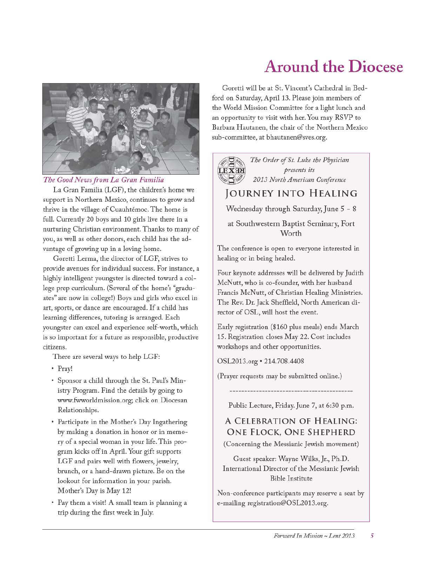

#### The Good News from La Gran Familia

La Gran Familia (LGF), the children's home we support in Northern Mexico, continues to grow and thrive in the village of Cuauhtémoc. The home is full. Currently 20 boys and 10 girls live there in a nurturing Christian environment. Thanks to many of you, as well as other donors, each child has the advantage of growing up in a loving home.

Goretti Lerma, the director of LGF, strives to provide avenues for individual success. For instance, a highly intelligent youngster is directed toward a college prep curriculum. (Several of the home's "graduates" are now in college!) Boys and girls who excel in art, sports, or dance are encouraged. If a child has learning differences, tutoring is arranged. Each youngster can excel and experience self-worth, which is so important for a future as responsible, productive citizens.

There are several ways to help LGF:

- Pray!
- · Sponsor a child through the St. Paul's Ministry Program. Find the details by going to www.fwworldmission.org; click on Diocesan Relationships.
- Participate in the Mother's Day Ingathering by making a donation in honor or in memory of a special woman in your life. This program kicks off in April. Your gift supports LGF and pairs well with flowers, jewelry, brunch, or a hand-drawn picture. Be on the lookout for information in your parish. Mother's Day is May 12!
- Pay them a visit! A small team is planning a trip during the first week in July.

# **Around the Diocese**

Goretti will be at St. Vincent's Cathedral in Bedford on Saturday, April 13. Please join members of the World Mission Committee for a light lunch and an opportunity to visit with her. You may RSVP to Barbara Hautanen, the chair of the Northern Mexico sub-committee, at bhautanen@sves.org.



The Order of St. Luke the Physician presents its 2013 North American Conference

## JOURNEY INTO HEALING

Wednesday through Saturday, June 5 - 8

at Southwestern Baptist Seminary, Fort Worth

The conference is open to everyone interested in healing or in being healed.

Four keynote addresses will be delivered by Judith McNutt, who is co-founder, with her husband Francis McNutt, of Christian Healing Ministries. The Rev. Dr. Jack Sheffield, North American director of OSL, will host the event.

Early registration (\$160 plus meals) ends March 15. Registration closes May 22. Cost includes workshops and other opportunities.

OSL2013.org · 214.708.4408

(Prayer requests may be submitted online.)

Public Lecture, Friday. June 7, at 6:30 p.m.

A CELEBRATION OF HEALING: ONE FLOCK, ONE SHEPHERD (Concerning the Messianic Jewish movement)

Guest speaker: Wayne Wilks, Jr., Ph.D. International Director of the Messianic Jewish **Bible Institute** 

Non-conference participants may reserve a seat by e-mailing registration@OSL2013.org.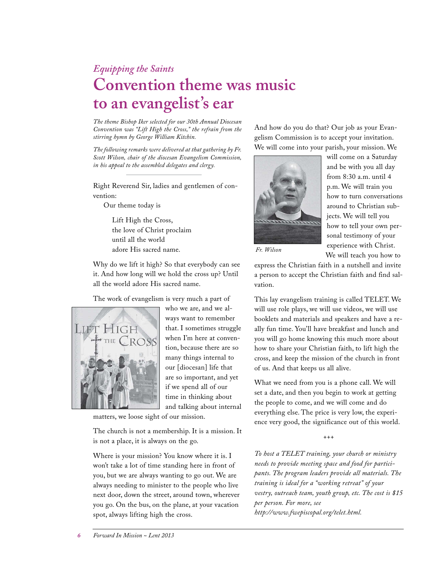## *Equipping the Saints* **Convention theme was music to an evangelist's ear**

*The theme Bishop Iker selected for our 30th Annual Diocesan Convention was "Lift High the Cross," the refrain from the stirring hymn by George William Kitchin.*

*The following remarks were delivered at that gathering by Fr. Scott Wilson, chair of the diocesan Evangelism Commission, in his appeal to the assembled delegates and clergy.*

Right Reverend Sir, ladies and gentlemen of convention:

Our theme today is

Lift High the Cross, the love of Christ proclaim until all the world adore His sacred name.

Why do we lift it high? So that everybody can see it. And how long will we hold the cross up? Until all the world adore His sacred name.

The work of evangelism is very much a part of



who we are, and we always want to remember that. I sometimes struggle when I'm here at convention, because there are so many things internal to our [diocesan] life that are so important, and yet if we spend all of our time in thinking about and talking about internal

matters, we loose sight of our mission.

The church is not a membership. It is a mission. It is not a place, it is always on the go.

Where is your mission? You know where it is. I won't take a lot of time standing here in front of you, but we are always wanting to go out. We are always needing to minister to the people who live next door, down the street, around town, wherever you go. On the bus, on the plane, at your vacation spot, always lifting high the cross.

And how do you do that? Our job as your Evangelism Commission is to accept your invitation. We will come into your parish, your mission. We



will come on a Saturday and be with you all day from 8:30 a.m. until 4 p.m. We will train you how to turn conversations around to Christian subjects. We will tell you how to tell your own personal testimony of your experience with Christ. We will teach you how to

*Fr. Wilson*

express the Christian faith in a nutshell and invite a person to accept the Christian faith and find salvation.

This lay evangelism training is called TELET. We will use role plays, we will use videos, we will use booklets and materials and speakers and have a really fun time. You'll have breakfast and lunch and you will go home knowing this much more about how to share your Christian faith, to lift high the cross, and keep the mission of the church in front of us. And that keeps us all alive.

What we need from you is a phone call. We will set a date, and then you begin to work at getting the people to come, and we will come and do everything else. The price is very low, the experience very good, the significance out of this world.

+++

*To host a TELET training, your church or ministry needs to provide meeting space and food for participants. The program leaders provide all materials. The training is ideal for a "working retreat" of your vestry, outreach team, youth group, etc. The cost is \$15 per person. For more, see http://www.fwepiscopal.org/telet.html.*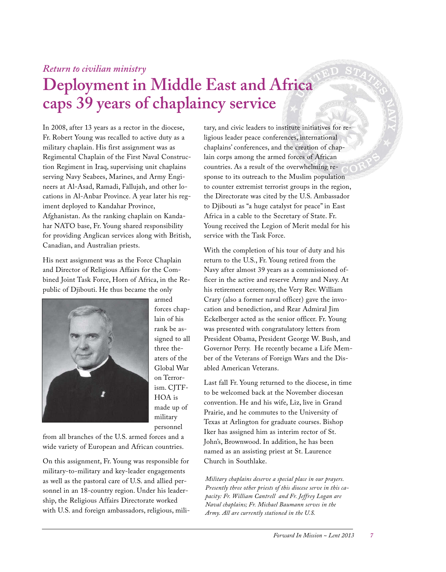### *Return to civilian ministry*

# **Deployment in Middle East and Africa caps 39 years of chaplaincy service**

In 2008, after 13 years as a rector in the diocese, Fr. Robert Young was recalled to active duty as a military chaplain. His first assignment was as Regimental Chaplain of the First Naval Construction Regiment in Iraq, supervising unit chaplains serving Navy Seabees, Marines, and Army Engineers at Al-Asad, Ramadi, Fallujah, and other locations in Al-Anbar Province. A year later his regiment deployed to Kandahar Province, Afghanistan. As the ranking chaplain on Kandahar NATO base, Fr. Young shared responsibility for providing Anglican services along with British, Canadian, and Australian priests.

His next assignment was as the Force Chaplain and Director of Religious Affairs for the Combined Joint Task Force, Horn of Africa, in the Republic of Djibouti. He thus became the only



forces chaplain of his rank be assigned to all three theaters of the Global War on Terrorism. CITF-HOA is made up of military personnel

armed

from all branches of the U.S. armed forces and a wide variety of European and African countries.

On this assignment, Fr. Young was responsible for military-to-military and key-leader engagements as well as the pastoral care of U.S. and allied personnel in an 18-country region. Under his leadership, the Religious Affairs Directorate worked with U.S. and foreign ambassadors, religious, mili-

tary, and civic leaders to institute initiatives for religious leader peace conferences, international chaplains' conferences, and the creation of chaplain corps among the armed forces of African countries. As a result of the overwhelming response to its outreach to the Muslim population to counter extremist terrorist groups in the region, the Directorate was cited by the U.S. Ambassador to Djibouti as "a huge catalyst for peace" in East Africa in a cable to the Secretary of State. Fr. Young received the Legion of Merit medal for his service with the Task Force.

With the completion of his tour of duty and his return to the U.S., Fr. Young retired from the Navy after almost 39 years as a commissioned officer in the active and reserve Army and Navy. At his retirement ceremony, the Very Rev. William Crary (also a former naval officer) gave the invocation and benediction, and Rear Admiral Jim Eckelberger acted as the senior officer. Fr. Young was presented with congratulatory letters from President Obama, President George W. Bush, and Governor Perry. He recently became a Life Member of the Veterans of Foreign Wars and the Disabled American Veterans.

Last fall Fr. Young returned to the diocese, in time to be welcomed back at the November diocesan convention. He and his wife, Liz, live in Grand Prairie, and he commutes to the University of Texas at Arlington for graduate courses. Bishop Iker has assigned him as interim rector of St. John's, Brownwood. In addition, he has been named as an assisting priest at St. Laurence Church in Southlake.

*Military chaplains deserve a special place in our prayers. Presently three other priests of this diocese serve in this capacity: Fr. William Cantrell and Fr. Jeffrey Logan are Naval chaplains; Fr. Michael Baumann serves in the Army. All are currently stationed in the U.S.*